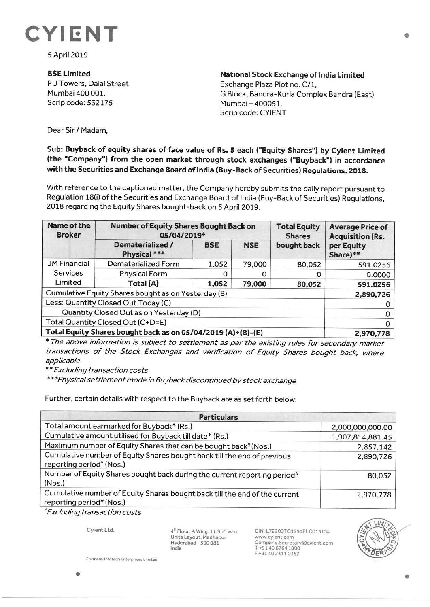

SApril 2019

## **BSELimited**

P J Towers, Dalal Street Mumbai 400 001. Scrip code: 532175

**National Stock Exchange of India Limited**  Exchange Plaza Plot no. C/1, G Block, Bandra-Kurla Complex Bandra (East) Mumbai-400051. Scrip code: CYIENT

Dear Sir/ Madam,

## **Sub: Buyback of equity shares of face value of Rs. S each ("Equity Shares") by Cyient Limited (the "Company") from the open market through stock exchanges ("Buyback") in accordance with the Securities and Exchange Board of India (Buy-Back of Securities) Regulations, 2018.**

With reference to the captioned matter, the Company hereby submits the daily report pursuant to Regulation 18(i) of the Securities and Exchange Board of India (Buy-Back of Securities) Regulations, 2018 regarding the Equity Shares bought-back on 5 April 2019.

| Name of the<br><b>Broker</b>                                 | <b>Number of Equity Shares Bought Back on</b><br>05/04/2019* |            |            | <b>Total Equity</b><br><b>Shares</b> | <b>Average Price of</b><br><b>Acquisition (Rs.</b> |
|--------------------------------------------------------------|--------------------------------------------------------------|------------|------------|--------------------------------------|----------------------------------------------------|
|                                                              | Dematerialized /<br>Physical ***                             | <b>BSE</b> | <b>NSE</b> | bought back                          | per Equity<br>Share)**                             |
| <b>JM Financial</b>                                          | Dematerialized Form                                          | 1,052      | 79,000     | 80,052                               | 591.0256                                           |
| Services                                                     | <b>Physical Form</b>                                         |            |            |                                      | 0.0000                                             |
| Limited                                                      | Total (A)                                                    | 1,052      | 79,000     | 80,052                               | 591.0256                                           |
| Cumulative Equity Shares bought as on Yesterday (B)          |                                                              |            |            |                                      | 2,890,726                                          |
| Less: Quantity Closed Out Today (C)                          |                                                              |            |            |                                      |                                                    |
| Quantity Closed Out as on Yesterday (D)                      |                                                              |            |            |                                      |                                                    |
| Total Quantity Closed Out (C+D=E)                            |                                                              |            |            |                                      |                                                    |
| Total Equity Shares bought back as on 05/04/2019 (A)+(B)-(E) |                                                              |            |            |                                      | 2,970,778                                          |

\* The above information is subject to settlement as per the existing rules for secondary market transactions of the Stock Exchanges and verification of Equity Shares bought back, where applicable

\* \* Excluding transaction costs

\*\*\*Physical settlement mode in Buyback discontinued by stock exchange

Further, certain details with respect to the Buyback are as set forth below:

| <b>Particulars</b>                                                                                              |                  |  |  |  |
|-----------------------------------------------------------------------------------------------------------------|------------------|--|--|--|
| Total amount earmarked for Buyback* (Rs.)                                                                       | 2,000,000,000.00 |  |  |  |
| Cumulative amount utilised for Buyback till date* (Rs.)                                                         | 1,907,814,881.45 |  |  |  |
| Maximum number of Equity Shares that can be bought back <sup>\$</sup> (Nos.)                                    | 2,857,142        |  |  |  |
| Cumulative number of Equity Shares bought back till the end of previous<br>reporting period <sup>*</sup> (Nos.) | 2,890,726        |  |  |  |
| Number of Equity Shares bought back during the current reporting period#<br>(Nos.)                              | 80,052           |  |  |  |
| Cumulative number of Equity Shares bought back till the end of the current<br>reporting period# (Nos.)          | 2,970,778        |  |  |  |

<sup>~</sup>Excluding transaction costs

Cyient Ltd.

 $4<sup>th</sup>$  Floor, A Wing, 11 Software Units Layout, Madhapur Hyderabad • 500 081 India

CIN:L72200TG1991PLC013134 www.cyient.com Company.Secretary®cyient.com T +91 40 6764 1000 F +914023110352



**Formerly Infotech Enterprises Limited**